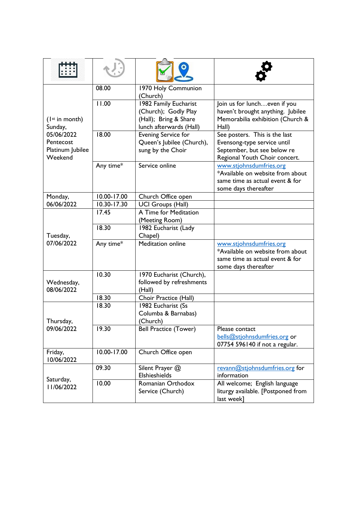| $($ Ist in month)<br>Sunday,<br>05/06/2022<br>Pentecost<br>Platinum Jubilee<br>Weekend | 08.00       | 1970 Holy Communion<br>(Church) |                                                                     |
|----------------------------------------------------------------------------------------|-------------|---------------------------------|---------------------------------------------------------------------|
|                                                                                        | 11.00       | 1982 Family Eucharist           | Join us for luncheven if you                                        |
|                                                                                        |             | (Church); Godly Play            | haven't brought anything. Jubilee                                   |
|                                                                                        |             | (Hall); Bring & Share           | Memorabilia exhibition (Church &                                    |
|                                                                                        |             | lunch afterwards (Hall)         | Hall)                                                               |
|                                                                                        | 18.00       | <b>Evening Service for</b>      | See posters. This is the last                                       |
|                                                                                        |             | Queen's Jubilee (Church),       | Evensong-type service until                                         |
|                                                                                        |             | sung by the Choir               | September, but see below re<br>Regional Youth Choir concert.        |
|                                                                                        | Any time*   | Service online                  | www.stjohnsdumfries.org                                             |
|                                                                                        |             |                                 | *Available on website from about                                    |
|                                                                                        |             |                                 | same time as actual event & for                                     |
|                                                                                        |             |                                 | some days thereafter                                                |
| Monday,                                                                                | 10.00-17.00 | Church Office open              |                                                                     |
| 06/06/2022                                                                             | 10.30-17.30 | <b>UCI Groups (Hall)</b>        |                                                                     |
|                                                                                        | 17.45       | A Time for Meditation           |                                                                     |
|                                                                                        |             | (Meeting Room)                  |                                                                     |
| Tuesday,<br>07/06/2022                                                                 | 18.30       | 1982 Eucharist (Lady            |                                                                     |
|                                                                                        |             | Chapel)                         |                                                                     |
|                                                                                        | Any time*   | <b>Meditation online</b>        | www.stjohnsdumfries.org                                             |
|                                                                                        |             |                                 | *Available on website from about<br>same time as actual event & for |
|                                                                                        |             |                                 | some days thereafter                                                |
| Wednesday,<br>08/06/2022                                                               | 10.30       | 1970 Eucharist (Church),        |                                                                     |
|                                                                                        |             | followed by refreshments        |                                                                     |
|                                                                                        |             | (Hall)                          |                                                                     |
|                                                                                        | 18.30       | Choir Practice (Hall)           |                                                                     |
| Thursday,<br>09/06/2022                                                                | 18.30       | 1982 Eucharist (Ss              |                                                                     |
|                                                                                        |             | Columba & Barnabas)             |                                                                     |
|                                                                                        |             | (Church)                        |                                                                     |
|                                                                                        | 19.30       | <b>Bell Practice (Tower)</b>    | Please contact                                                      |
|                                                                                        |             |                                 | bells@stjohnsdumfries.org or                                        |
|                                                                                        |             |                                 | 07754 596140 if not a regular.                                      |
| Friday,<br>10/06/2022                                                                  | 10.00-17.00 | Church Office open              |                                                                     |
| Saturday,<br>11/06/2022                                                                | 09.30       | Silent Prayer @                 | revann@stjohnsdumfries.org for                                      |
|                                                                                        |             | Elshieshields                   | information                                                         |
|                                                                                        | 10.00       | Romanian Orthodox               | All welcome; English language                                       |
|                                                                                        |             | Service (Church)                | liturgy available. [Postponed from<br>last week]                    |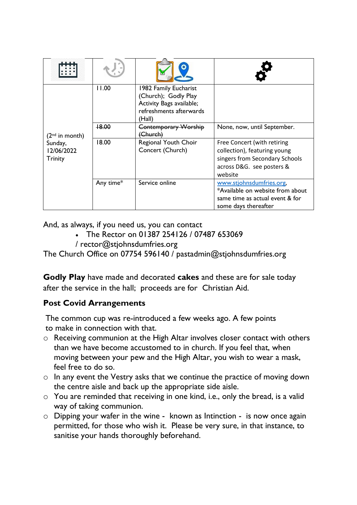| $(2nd$ in month)<br>Sunday,<br>12/06/2022<br><b>Trinity</b> | 11.00     | 1982 Family Eucharist<br>(Church); Godly Play<br>Activity Bags available;<br>refreshments afterwards<br>(Hall) |                                                                                                                                       |
|-------------------------------------------------------------|-----------|----------------------------------------------------------------------------------------------------------------|---------------------------------------------------------------------------------------------------------------------------------------|
|                                                             | +8.00     | <b>Contemporary Worship</b><br>Church)                                                                         | None, now, until September.                                                                                                           |
|                                                             | 18.00     | Regional Youth Choir<br>Concert (Church)                                                                       | Free Concert (with retiring<br>collection), featuring young<br>singers from Secondary Schools<br>across D&G. see posters &<br>website |
|                                                             | Any time* | Service online                                                                                                 | www.stjohnsdumfries.org,<br>*Available on website from about<br>same time as actual event & for<br>some days thereafter               |

And, as always, if you need us, you can contact

- The Rector on 01387 254126 / 07487 653069
- / [rector@stjohnsdumfries.org](mailto:rector@stjohnsdumfries.org)

The Church Office on 07754 596140 / [pastadmin@stjohnsdumfries.org](mailto:pastadmin@stjohnsdumfries.org)

**Godly Play** have made and decorated **cakes** and these are for sale today after the service in the hall; proceeds are for Christian Aid.

## **Post Covid Arrangements**

The common cup was re-introduced a few weeks ago. A few points to make in connection with that.

- o Receiving communion at the High Altar involves closer contact with others than we have become accustomed to in church. If you feel that, when moving between your pew and the High Altar, you wish to wear a mask, feel free to do so.
- o In any event the Vestry asks that we continue the practice of moving down the centre aisle and back up the appropriate side aisle.
- $\circ$  You are reminded that receiving in one kind, i.e., only the bread, is a valid way of taking communion.
- o Dipping your wafer in the wine known as Intinction is now once again permitted, for those who wish it. Please be very sure, in that instance, to sanitise your hands thoroughly beforehand.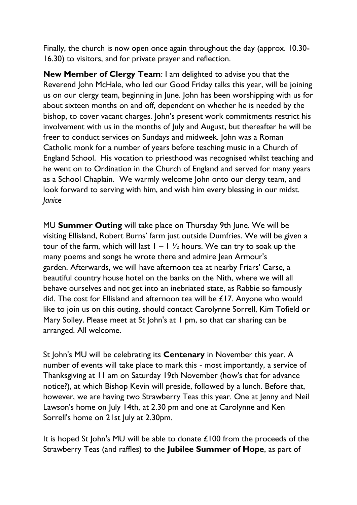Finally, the church is now open once again throughout the day (approx. 10.30- 16.30) to visitors, and for private prayer and reflection.

**New Member of Clergy Team**: I am delighted to advise you that the Reverend John McHale, who led our Good Friday talks this year, will be joining us on our clergy team, beginning in June. John has been worshipping with us for about sixteen months on and off, dependent on whether he is needed by the bishop, to cover vacant charges. John's present work commitments restrict his involvement with us in the months of July and August, but thereafter he will be freer to conduct services on Sundays and midweek. John was a Roman Catholic monk for a number of years before teaching music in a Church of England School. His vocation to priesthood was recognised whilst teaching and he went on to Ordination in the Church of England and served for many years as a School Chaplain. We warmly welcome John onto our clergy team, and look forward to serving with him, and wish him every blessing in our midst. *Janice*

MU **Summer Outing** will take place on Thursday 9th June. We will be visiting Ellisland, Robert Burns' farm just outside Dumfries. We will be given a tour of the farm, which will last  $1 - 1 \frac{1}{2}$  hours. We can try to soak up the many poems and songs he wrote there and admire Jean Armour's garden. Afterwards, we will have afternoon tea at nearby Friars' Carse, a beautiful country house hotel on the banks on the Nith, where we will all behave ourselves and not get into an inebriated state, as Rabbie so famously did. The cost for Ellisland and afternoon tea will be £17. Anyone who would like to join us on this outing, should contact Carolynne Sorrell, Kim Tofield or Mary Solley. Please meet at St John's at 1 pm, so that car sharing can be arranged. All welcome.

St John's MU will be celebrating its **Centenary** in November this year. A number of events will take place to mark this - most importantly, a service of Thanksgiving at 11 am on Saturday 19th November (how's that for advance notice?), at which Bishop Kevin will preside, followed by a lunch. Before that, however, we are having two Strawberry Teas this year. One at Jenny and Neil Lawson's home on July 14th, at 2.30 pm and one at Carolynne and Ken Sorrell's home on 21st July at 2.30pm.

It is hoped St John's MU will be able to donate £100 from the proceeds of the Strawberry Teas (and raffles) to the **Jubilee Summer of Hope**, as part of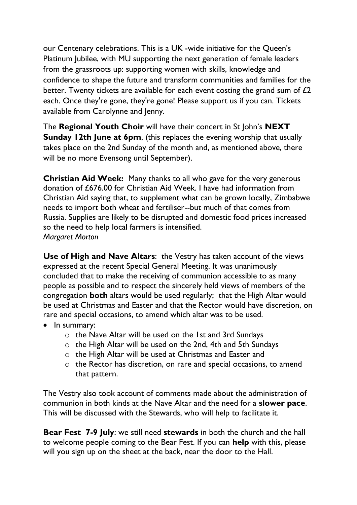our Centenary celebrations. This is a UK -wide initiative for the Queen's Platinum Jubilee, with MU supporting the next generation of female leaders from the grassroots up: supporting women with skills, knowledge and confidence to shape the future and transform communities and families for the better. Twenty tickets are available for each event costing the grand sum of £2 each. Once they're gone, they're gone! Please support us if you can. Tickets available from Carolynne and Jenny.

The **Regional Youth Choir** will have their concert in St John's **NEXT Sunday 12th June at 6pm**, (this replaces the evening worship that usually takes place on the 2nd Sunday of the month and, as mentioned above, there will be no more Evensong until September).

**Christian Aid Week:** Many thanks to all who gave for the very generous donation of £676.00 for Christian Aid Week. I have had information from Christian Aid saying that, to supplement what can be grown locally, Zimbabwe needs to import both wheat and fertiliser--but much of that comes from Russia. Supplies are likely to be disrupted and domestic food prices increased so the need to help local farmers is intensified. *Margaret Morton*

**Use of High and Nave Altars**: the Vestry has taken account of the views expressed at the recent Special General Meeting. It was unanimously concluded that to make the receiving of communion accessible to as many people as possible and to respect the sincerely held views of members of the congregation **both** altars would be used regularly; that the High Altar would be used at Christmas and Easter and that the Rector would have discretion, on rare and special occasions, to amend which altar was to be used.

- In summary:
	- o the Nave Altar will be used on the 1st and 3rd Sundays
	- o the High Altar will be used on the 2nd, 4th and 5th Sundays
	- o the High Altar will be used at Christmas and Easter and
	- o the Rector has discretion, on rare and special occasions, to amend that pattern.

The Vestry also took account of comments made about the administration of communion in both kinds at the Nave Altar and the need for a **slower pace**. This will be discussed with the Stewards, who will help to facilitate it.

**Bear Fest 7-9 July**: we still need **stewards** in both the church and the hall to welcome people coming to the Bear Fest. If you can **help** with this, please will you sign up on the sheet at the back, near the door to the Hall.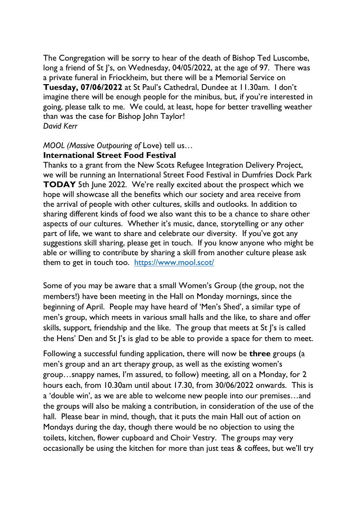The Congregation will be sorry to hear of the death of Bishop Ted Luscombe, long a friend of St J's, on Wednesday, 04/05/2022, at the age of 97. There was a private funeral in Friockheim, but there will be a Memorial Service on **Tuesday, 07/06/2022** at St Paul's Cathedral, Dundee at 11.30am. I don't imagine there will be enough people for the minibus, but, if you're interested in going, please talk to me. We could, at least, hope for better travelling weather than was the case for Bishop John Taylor! *David Kerr*

## *MOOL (Massive Outpouring of* Love) tell us…

## **International Street Food Festival**

Thanks to a grant from the New Scots Refugee Integration Delivery Project, we will be running an International Street Food Festival in Dumfries Dock Park **TODAY** 5th June 2022. We're really excited about the prospect which we hope will showcase all the benefits which our society and area receive from the arrival of people with other cultures, skills and outlooks. In addition to sharing different kinds of food we also want this to be a chance to share other aspects of our cultures. Whether it's music, dance, storytelling or any other part of life, we want to share and celebrate our diversity. If you've got any suggestions skill sharing, please get in touch. If you know anyone who might be able or willing to contribute by sharing a skill from another culture please ask them to get in touch too. <https://www.mool.scot/>

Some of you may be aware that a small Women's Group (the group, not the members!) have been meeting in the Hall on Monday mornings, since the beginning of April. People may have heard of 'Men's Shed', a similar type of men's group, which meets in various small halls and the like, to share and offer skills, support, friendship and the like. The group that meets at St J's is called the Hens' Den and St J's is glad to be able to provide a space for them to meet.

Following a successful funding application, there will now be **three** groups (a men's group and an art therapy group, as well as the existing women's group…snappy names, I'm assured, to follow) meeting, all on a Monday, for 2 hours each, from 10.30am until about 17.30, from 30/06/2022 onwards. This is a 'double win', as we are able to welcome new people into our premises…and the groups will also be making a contribution, in consideration of the use of the hall. Please bear in mind, though, that it puts the main Hall out of action on Mondays during the day, though there would be no objection to using the toilets, kitchen, flower cupboard and Choir Vestry. The groups may very occasionally be using the kitchen for more than just teas & coffees, but we'll try